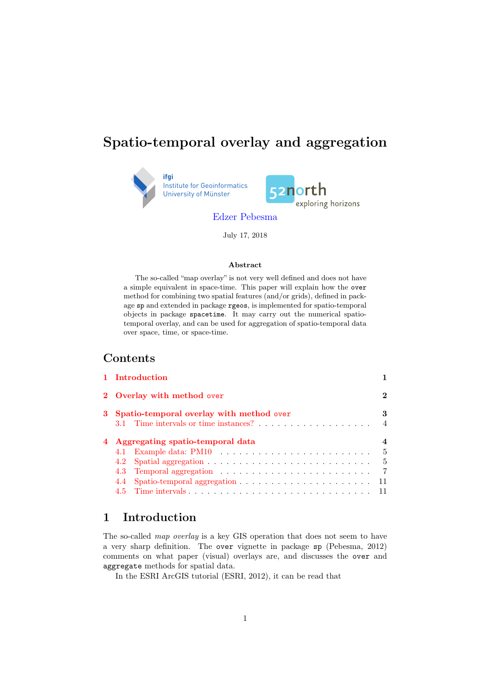# Spatio-temporal overlay and aggregation





[Edzer Pebesma](mailto:edzer.pebesma@uni-muenster.de)

July 17, 2018

#### Abst Abstract

The so-called "map overlay" is not very well defined and does not have a simple equivalent in space-time. This paper will explain how the over method for combining two spatial features (and/or grids), defined in package sp and extended in package rgeos, is implemented for spatio-temporal objects in package spacetime. It may carry out the numerical spatiotemporal overlay, and can be used for aggregation of spatio-temporal data over space, time, or space-time.

### **Contents**

| 1 Introduction                                                                                                              |                                     |
|-----------------------------------------------------------------------------------------------------------------------------|-------------------------------------|
| 2 Overlay with method over                                                                                                  | $\boldsymbol{2}$                    |
| 3 Spatio-temporal overlay with method over                                                                                  | 3                                   |
| 4 Aggregating spatio-temporal data<br>Spatio-temporal aggregation $\ldots \ldots \ldots \ldots \ldots \ldots \ldots$<br>4.4 | 4<br>5<br>- 5<br>- 7<br>11<br>$-11$ |
|                                                                                                                             |                                     |

## <span id="page-0-0"></span>1 Introduction

The so-called *map overlay* is a key GIS operation that does not seem to have a very sharp definition. The over vignette in package sp (Pebesma, 2012) comments on what paper (visual) overlays are, and discusses the over and aggregate methods for spatial data.

In the ESRI ArcGIS tutorial (ESRI, 2012), it can be read that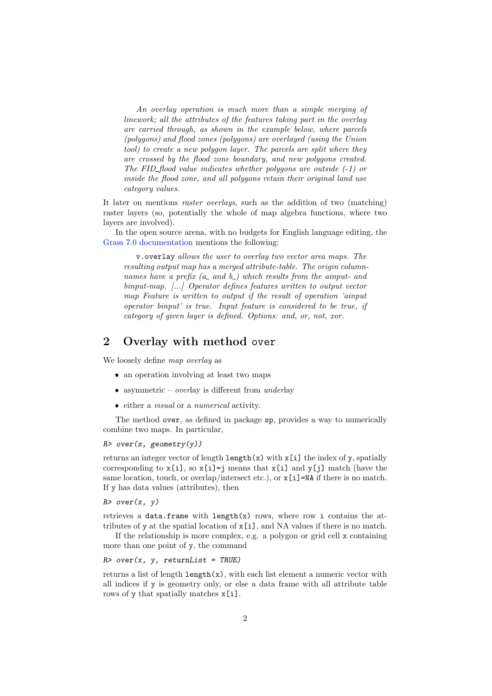An overlay operation is much more than a simple merging of linework; all the attributes of the features taking part in the overlay are carried through, as shown in the example below, where parcels (polygons) and flood zones (polygons) are overlayed (using the Union tool) to create a new polygon layer. The parcels are split where they are crossed by the flood zone boundary, and new polygons created. The FID-flood value indicates whether polygons are outside  $(-1)$  or inside the flood zone, and all polygons retain their original land use category values.

It later on mentions raster overlays, such as the addition of two (matching) raster layers (so, potentially the whole of map algebra functions, where two layers are involved).

In the open source arena, with no budgets for English language editing, the [Grass 7.0 documentation](http://grass.fbk.eu/grass70/manuals/html70_user/v.overlay.html) mentions the following:

v.overlay allows the user to overlay two vector area maps. The resulting output map has a merged attribute-table. The origin columnnames have a prefix  $(a_$  and  $b_$ ) which results from the ainput- and binput-map. [...] Operator defines features written to output vector map Feature is written to output if the result of operation 'ainput operator binput' is true. Input feature is considered to be true, if category of given layer is defined. Options: and, or, not, xor.

## <span id="page-1-0"></span>2 Overlay with method over

We loosely define map overlay as

- an operation involving at least two maps
- asymmetric *overlay* is different from  $underlay$
- either a visual or a numerical activity.

The method over, as defined in package sp, provides a way to numerically combine two maps. In particular,

 $R$ > over(x, geometry(y))

returns an integer vector of length  $\text{length}(x)$  with  $x[i]$  the index of y, spatially corresponding to  $x[i]$ , so  $x[i]$ =j means that  $x[i]$  and  $y[i]$  match (have the same location, touch, or overlap/intersect etc.), or  $x[i]$ =NA if there is no match. If y has data values (attributes), then

 $R$ > over(x, y)

retrieves a data.frame with  $length(x)$  rows, where row i contains the attributes of y at the spatial location of  $x[i]$ , and NA values if there is no match.

If the relationship is more complex, e.g. a polygon or grid cell x containing more than one point of y, the command

 $R$ > over(x, y, returnList = TRUE)

returns a list of length  $l$ ength $(x)$ , with each list element a numeric vector with all indices if y is geometry only, or else a data frame with all attribute table rows of y that spatially matches  $x[i]$ .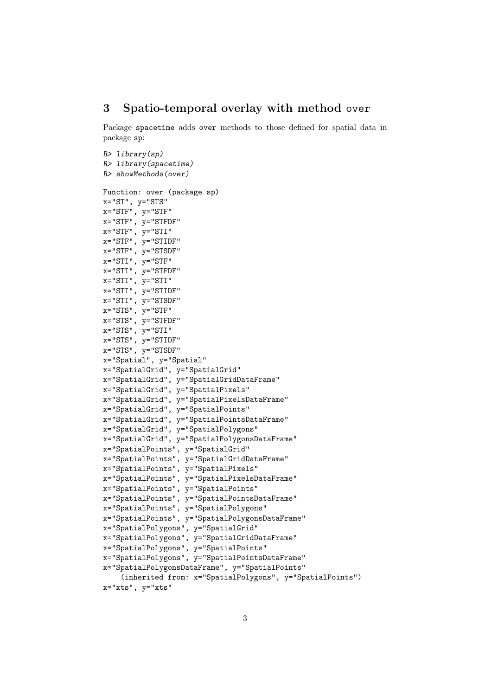### <span id="page-2-0"></span>3 Spatio-temporal overlay with method over

Package spacetime adds over methods to those defined for spatial data in package sp:

```
R> library(sp)
R> library(spacetime)
R> showMethods(over)
Function: over (package sp)
x="ST", y="STS"
x="STF", y="STF"
x="STF", y="STFDF"
x="STF", y="STI"x="STF", y="STIDF"
x="STF", y="STSDF"
x="STI", y="STF"x = "STI", y = "STFDF"x="STI", y="STI"x="STI", y="STIDF"
x="STI", y="STSDF"
x="STS", y="STF"x="STS", y="STFDF"
x="STS", y="STI"
x="STS", y="STIDF"
x="STS", y="STSDF"x="Spatial", y="Spatial"
x="SpatialGrid", y="SpatialGrid"
x="SpatialGrid", y="SpatialGridDataFrame"
x="SpatialGrid", y="SpatialPixels"
x="SpatialGrid", y="SpatialPixelsDataFrame"
x="SpatialGrid", y="SpatialPoints"
x="SpatialGrid", y="SpatialPointsDataFrame"
x="SpatialGrid", y="SpatialPolygons"
x="SpatialGrid", y="SpatialPolygonsDataFrame"
x="SpatialPoints", y="SpatialGrid"
x="SpatialPoints", y="SpatialGridDataFrame"
x="SpatialPoints", y="SpatialPixels"
x="SpatialPoints", y="SpatialPixelsDataFrame"
x="SpatialPoints", y="SpatialPoints"
x="SpatialPoints", y="SpatialPointsDataFrame"
x="SpatialPoints", y="SpatialPolygons"
x="SpatialPoints", y="SpatialPolygonsDataFrame"
x="SpatialPolygons", y="SpatialGrid"
x="SpatialPolygons", y="SpatialGridDataFrame"
x="SpatialPolygons", y="SpatialPoints"
x="SpatialPolygons", y="SpatialPointsDataFrame"
x="SpatialPolygonsDataFrame", y="SpatialPoints"
    (inherited from: x="SpatialPolygons", y="SpatialPoints")
```

```
x="xts", y="xts"
```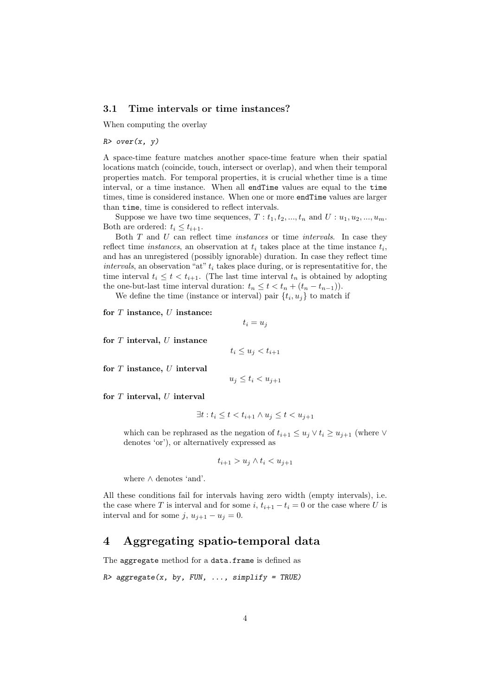#### <span id="page-3-0"></span>3.1 Time intervals or time instances?

When computing the overlay

 $R$  over  $(x, y)$ 

A space-time feature matches another space-time feature when their spatial locations match (coincide, touch, intersect or overlap), and when their temporal properties match. For temporal properties, it is crucial whether time is a time interval, or a time instance. When all endTime values are equal to the time times, time is considered instance. When one or more endTime values are larger than time, time is considered to reflect intervals.

Suppose we have two time sequences,  $T: t_1, t_2, ..., t_n$  and  $U: u_1, u_2, ..., u_m$ . Both are ordered:  $t_i \leq t_{i+1}$ .

Both  $T$  and  $U$  can reflect time *instances* or time *intervals*. In case they reflect time *instances*, an observation at  $t_i$  takes place at the time instance  $t_i$ , and has an unregistered (possibly ignorable) duration. In case they reflect time intervals, an observation "at"  $t_i$  takes place during, or is representatitive for, the time interval  $t_i \leq t < t_{i+1}$ . (The last time interval  $t_n$  is obtained by adopting the one-but-last time interval duration:  $t_n \leq t < t_n + (t_n - t_{n-1})$ .

We define the time (instance or interval) pair  $\{t_i, u_j\}$  to match if

for  $T$  instance,  $U$  instance:

$$
t_i = u_j
$$

for  $T$  interval,  $U$  instance

 $t_i \leq u_j < t_{i+1}$ 

for  $T$  instance,  $U$  interval

$$
u_j \le t_i < u_{j+1}
$$

for  $T$  interval,  $U$  interval

$$
\exists t : t_i \le t < t_{i+1} \land u_j \le t < u_{j+1}
$$

which can be rephrased as the negation of  $t_{i+1} \leq u_j \vee t_i \geq u_{j+1}$  (where  $\vee$ denotes 'or'), or alternatively expressed as

$$
t_{i+1} > u_j \wedge t_i < u_{j+1}
$$

where ∧ denotes 'and'.

All these conditions fail for intervals having zero width (empty intervals), i.e. the case where T is interval and for some i,  $t_{i+1} - t_i = 0$  or the case where U is interval and for some j,  $u_{j+1} - u_j = 0$ .

### <span id="page-3-1"></span>4 Aggregating spatio-temporal data

The aggregate method for a data.frame is defined as

 $R$ > aggregate(x, by, FUN, ..., simplify = TRUE)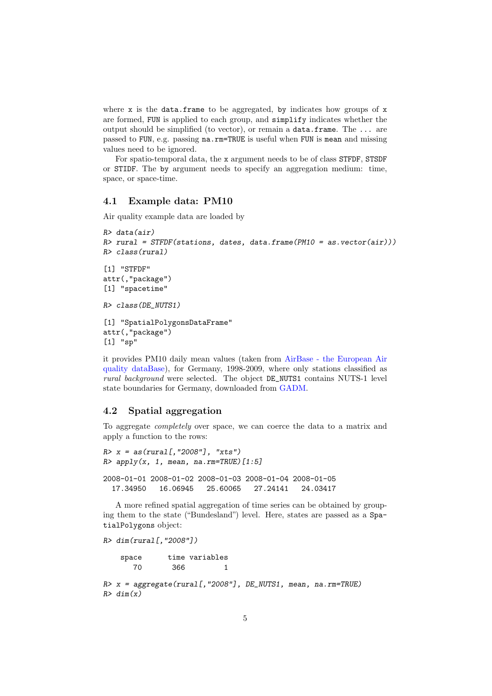where  $x$  is the data.frame to be aggregated, by indicates how groups of  $x$ are formed, FUN is applied to each group, and simplify indicates whether the output should be simplified (to vector), or remain a data.frame. The ... are passed to FUN, e.g. passing na.rm=TRUE is useful when FUN is mean and missing values need to be ignored.

For spatio-temporal data, the x argument needs to be of class STFDF, STSDF or STIDF. The by argument needs to specify an aggregation medium: time, space, or space-time.

#### <span id="page-4-0"></span>4.1 Example data: PM10

Air quality example data are loaded by

```
R> data(air)
R> rural = STFDF(stations, dates, data.frame(PM10 = as.vector(air)))
R> class(rural)
[1] "STFDF"
attr(,"package")
[1] "spacetime"
R> class(DE_NUTS1)
[1] "SpatialPolygonsDataFrame"
attr(,"package")
[1] "sp"
```
it provides PM10 daily mean values (taken from [AirBase - the European Air](http://acm.eionet.europa.eu/databases/airbase) [quality dataBase\)](http://acm.eionet.europa.eu/databases/airbase), for Germany, 1998-2009, where only stations classified as rural background were selected. The object DE\_NUTS1 contains NUTS-1 level state boundaries for Germany, downloaded from [GADM.](http://www.gadm.org/)

### <span id="page-4-1"></span>4.2 Spatial aggregation

To aggregate completely over space, we can coerce the data to a matrix and apply a function to the rows:

```
R > x = as(rural[, "2008"], "xts")
R> apply(x, 1, mean, na.rm=TRUE)[1:5]
2008-01-01 2008-01-02 2008-01-03 2008-01-04 2008-01-05
  17.34950 16.06945 25.60065 27.24141 24.03417
```
A more refined spatial aggregation of time series can be obtained by grouping them to the state ("Bundesland") level. Here, states are passed as a SpatialPolygons object:

```
R > dim(rural, "2008"])
   space time variables
      70 366 1
R> x = aggregate(rural[, "2008"], DE_NUTS1, mean, na.rm=TRUE)
R > dim(x)
```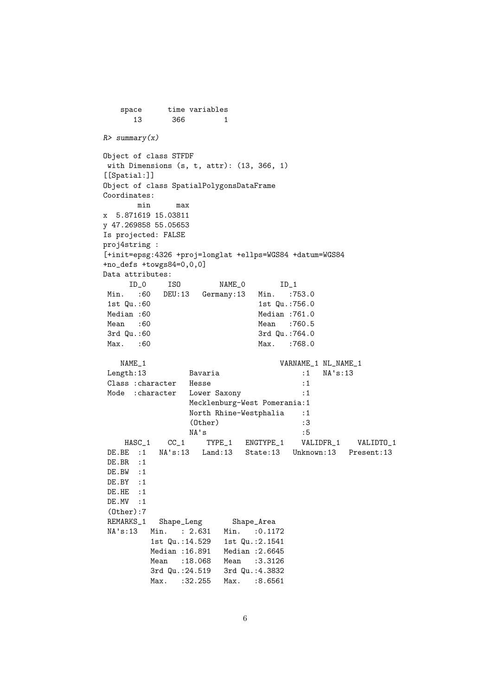```
space time variables
     13 366 1
R> summary(x)
Object of class STFDF
with Dimensions (s, t, attr): (13, 366, 1)
[[Spatial:]]
Object of class SpatialPolygonsDataFrame
Coordinates:
      min max
x 5.871619 15.03811
y 47.269858 55.05653
Is projected: FALSE
proj4string :
[+init=epsg:4326 +proj=longlat +ellps=WGS84 +datum=WGS84
+no_defs +towgs84=0,0,0]
Data attributes:
    ID_0 ISO NAME_0 ID_1
Min. :60 DEU:13 Germany:13 Min. :753.0
1st Qu.:60 1st Qu.:756.0
Median :60 Median :761.0
Mean :60 Mean :760.5
3rd Qu.:60 3rd Qu.:764.0
Max. :60 Max. :768.0
   NAME_1 NL_NAME_1 NL_NAME_1
Length:13 Bavaria :1 NA's:13
Class : character Hesse : 1
Mode : character Lower Saxony : 1
               Mecklenburg-West Pomerania:1
               North Rhine-Westphalia :1
               (0ther) :3<br>
NA's :5
               NA' sHASC_1 CC_1 TYPE_1 ENGTYPE_1 VALIDFR_1 VALIDTO_1
DE.BE :1 NA's:13 Land:13 State:13 Unknown:13 Present:13
DE.BR : 1
DE.BW :1
DE.BY :1
DE.HE : 1
DE.MV :1
(Other):7
REMARKS_1 Shape_Leng Shape_Area
NA's:13 Min. : 2.631 Min. : 0.1172<br>1st Qu.:14.529 1st Qu.:2.1541
        1st Qu.:14.529
        Median :16.891 Median :2.6645
        Mean :18.068 Mean :3.3126
        3rd Qu.:24.519 3rd Qu.:4.3832
        Max. :32.255 Max. :8.6561
```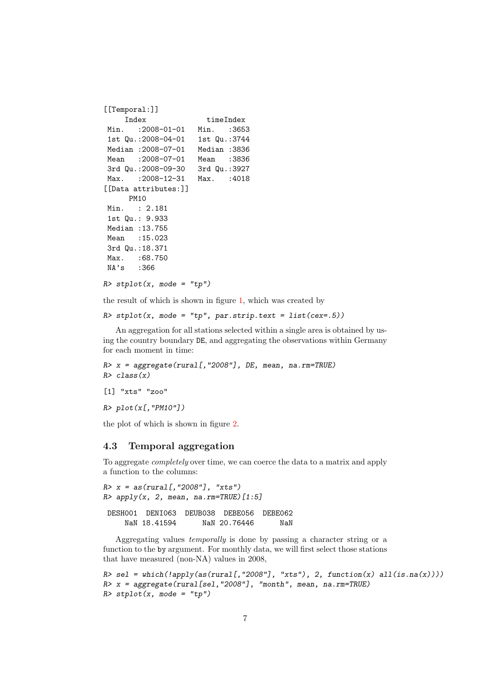```
[[Temporal:]]
    Index timeIndex
Min. : 2008-01-01 Min. : 3653
1st Qu.:2008-04-01 1st Qu.:3744
Median :2008-07-01 Median :3836
Mean :2008-07-01 Mean :3836
3rd Qu.:2008-09-30 3rd Qu.:3927
Max. : 2008-12-31 Max. : 4018
[[Data attributes:]]
     PM10
Min. : 2.181
1st Qu.: 9.933
Median :13.755
Mean : 15.023
3rd Qu.:18.371
Max. : 68.750
NA's :366
```

```
R> stplot(x, mode = "tp")
```
the result of which is shown in figure [1,](#page-7-0) which was created by

```
R> stplot(x, mode = "tp", par.strip.text = list(cex=.5))
```
An aggregation for all stations selected within a single area is obtained by using the country boundary DE, and aggregating the observations within Germany for each moment in time:

```
R> x = aggregate(rural[, "2008"], DE, mean, na.rm=TRUE)
R> class(x)
```

```
[1] "xts" "zoo"
```

```
R> plot(x[, "PM10"]
```
the plot of which is shown in figure [2.](#page-8-0)

#### <span id="page-6-0"></span>4.3 Temporal aggregation

To aggregate completely over time, we can coerce the data to a matrix and apply a function to the columns:

```
R > x = as(rural[, "2008"], "xts")
R> apply(x, 2, mean, na.rm=TRUE)[1:5]
DESH001 DENI063 DEUB038 DEBE056 DEBE062
    NaN 18.41594 NaN 20.76446 NaN
```
Aggregating values temporally is done by passing a character string or a function to the by argument. For monthly data, we will first select those stations that have measured (non-NA) values in 2008,

```
R> sel = which(!apply(as(rural[,"2008"], "xts"), 2, function(x) all(is.na(x))))
R> x = aggregate(rural[sel, "2008"], "month", mean, na.rm=TRUE)
R> stplot(x, mode = "tp")
```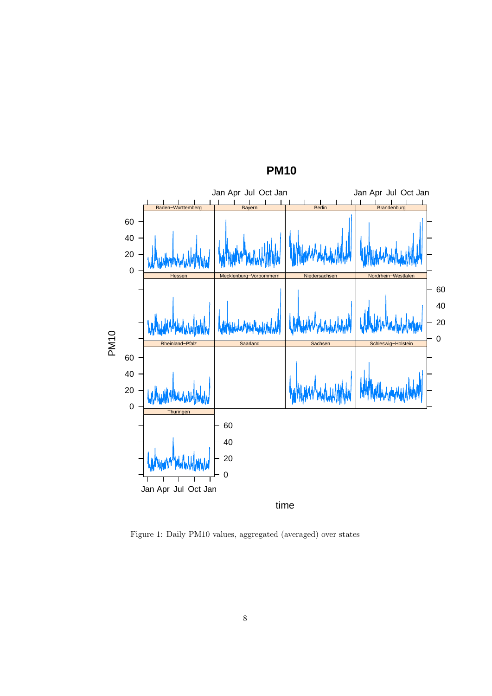

**PM10**

<span id="page-7-0"></span>Figure 1: Daily PM10 values, aggregated (averaged) over states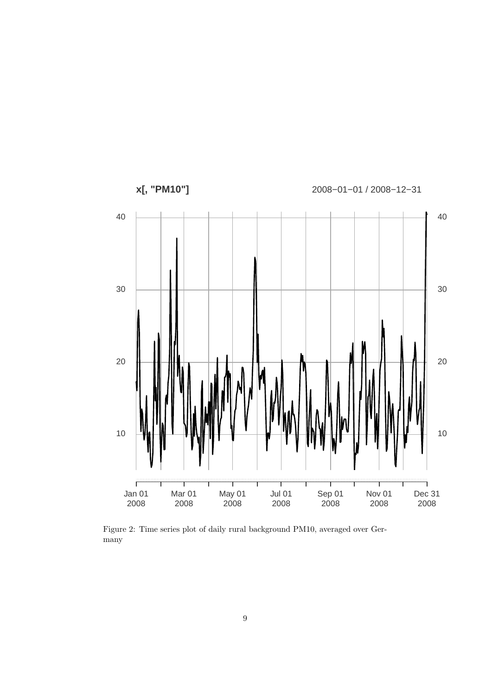

<span id="page-8-0"></span>Figure 2: Time series plot of daily rural background PM10, averaged over Germany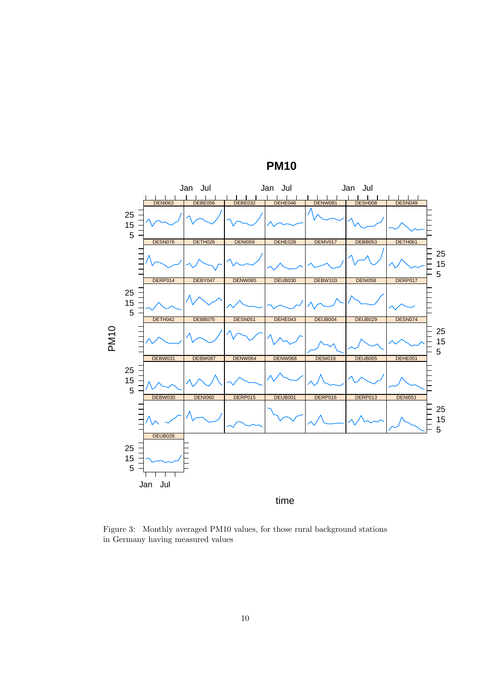

**PM10**

<span id="page-9-0"></span>Figure 3: Monthly averaged PM10 values, for those rural background stations in Germany having measured values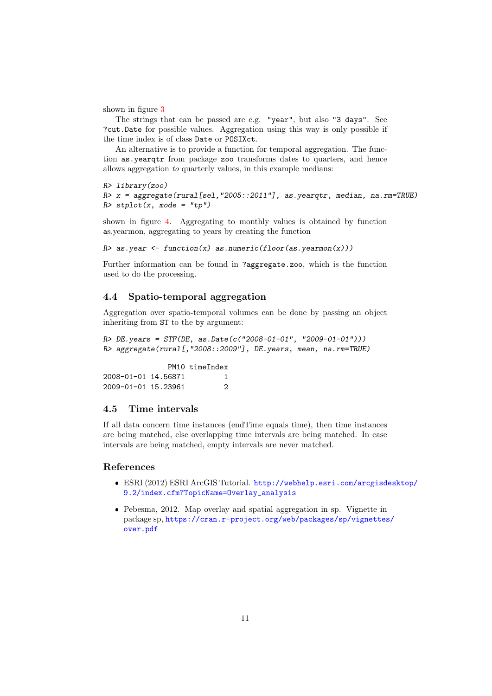shown in figure [3](#page-9-0)

The strings that can be passed are e.g. "year", but also "3 days". See ?cut.Date for possible values. Aggregation using this way is only possible if the time index is of class Date or POSIXct.

An alternative is to provide a function for temporal aggregation. The function as.yearqtr from package zoo transforms dates to quarters, and hence allows aggregation to quarterly values, in this example medians:

```
R> library(zoo)
R> x = aggregate(rural[sel, "2005::2011"], as.yearqtr, median, na.rm=TRUE)
R> stplot(x, mode = "tp")
```
shown in figure [4.](#page-11-0) Aggregating to monthly values is obtained by function as.yearmon, aggregating to years by creating the function

 $R$  as.year  $\leq$  function(x) as.numeric(floor(as.yearmon(x)))

Further information can be found in ?aggregate.zoo, which is the function used to do the processing.

#### <span id="page-10-0"></span>4.4 Spatio-temporal aggregation

Aggregation over spatio-temporal volumes can be done by passing an object inheriting from ST to the by argument:

```
R> DE.years = STF(DE, as.Date(c("2008-01-01", "2009-01-01")))
R> aggregate(rural[,"2008::2009"], DE.years, mean, na.rm=TRUE)
```
PM10 timeIndex 2008-01-01 14.56871 1 2009-01-01 15.23961 2

### <span id="page-10-1"></span>4.5 Time intervals

If all data concern time instances (endTime equals time), then time instances are being matched, else overlapping time intervals are being matched. In case intervals are being matched, empty intervals are never matched.

#### References

- ESRI (2012) ESRI ArcGIS Tutorial. [http://webhelp.esri.com/arcgisde](http://webhelp.esri.com/arcgisdesktop/9.2/index.cfm?TopicName=Overlay_analysis)sktop/ [9.2/index.cfm?TopicName=Overlay\\_analysis](http://webhelp.esri.com/arcgisdesktop/9.2/index.cfm?TopicName=Overlay_analysis)
- Pebesma, 2012. Map overlay and spatial aggregation in sp. Vignette in package sp, [https://cran.r-project.org/web/packages/sp/vignettes](https://cran.r-project.org/web/packages/sp/vignettes/over.pdf)/ [over.pdf](https://cran.r-project.org/web/packages/sp/vignettes/over.pdf)